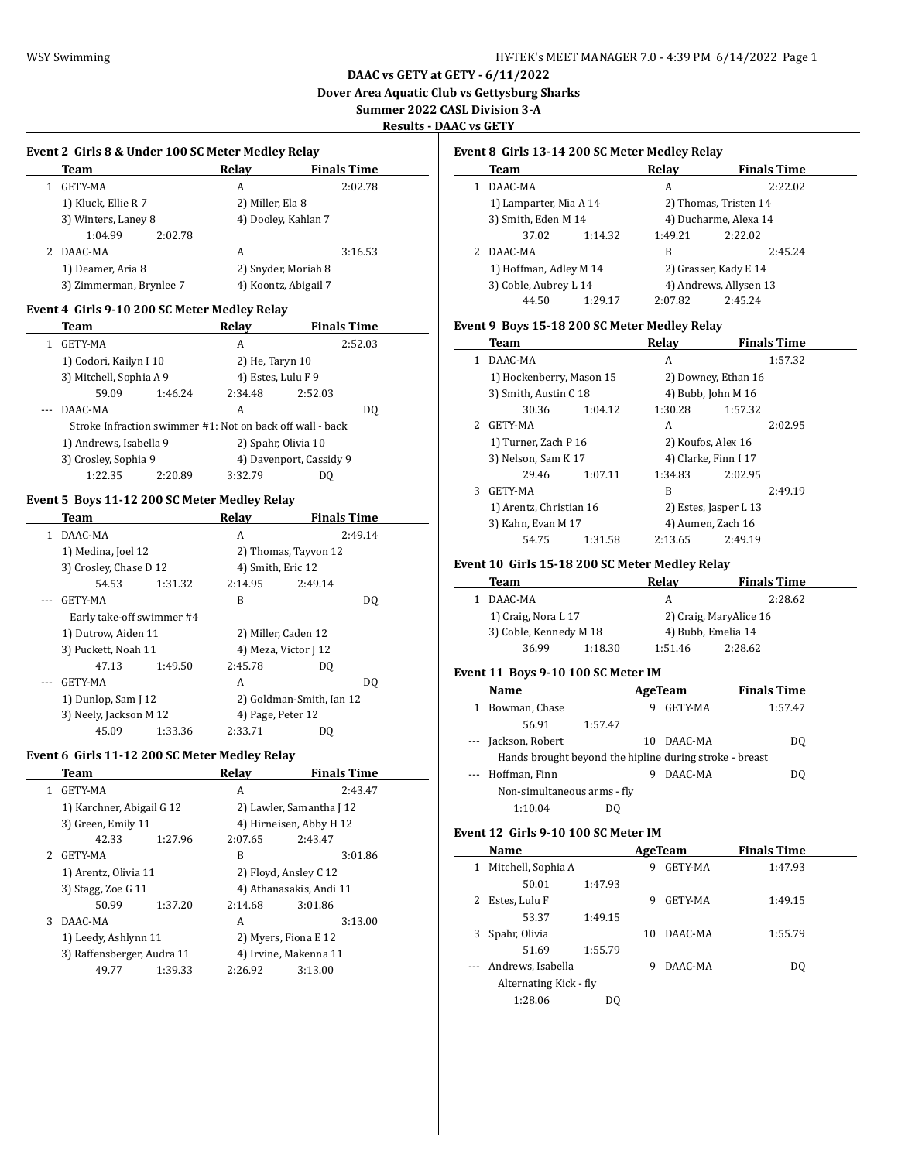# **DAAC vs GETY at GETY - 6/11/2022 Dover Area Aquatic Club vs Gettysburg Sharks**

# **Summer 2022 CASL Division 3-A**

# **Results - DAAC vs GETY**

 $\frac{1}{2}$ 

 $\overline{\phantom{a}}$ 

 $\overline{a}$ 

### **Event 2 Girls 8 & Under 100 SC Meter Medley Relay**

| Team                    | Relav                | <b>Finals Time</b> |
|-------------------------|----------------------|--------------------|
| GETY-MA                 | А                    | 2:02.78            |
| 1) Kluck, Ellie R 7     | 2) Miller, Ela 8     |                    |
| 3) Winters, Laney 8     | 4) Dooley, Kahlan 7  |                    |
| 1:04.99<br>2:02.78      |                      |                    |
| DAAC-MA                 | А                    | 3:16.53            |
| 1) Deamer, Aria 8       | 2) Snyder, Moriah 8  |                    |
| 3) Zimmerman, Brynlee 7 | 4) Koontz, Abigail 7 |                    |

#### **Event 4 Girls 9-10 200 SC Meter Medley Relay**

| Team                                                      |         | Relay               | <b>Finals Time</b>      |         |
|-----------------------------------------------------------|---------|---------------------|-------------------------|---------|
| GETY-MA                                                   |         | A                   |                         | 2:52.03 |
| 1) Codori, Kailyn I 10                                    |         | 2) He, Taryn 10     |                         |         |
| 3) Mitchell, Sophia A 9                                   |         | 4) Estes, Lulu F 9  |                         |         |
| 59.09                                                     | 1:46.24 | 2:34.48             | 2:52.03                 |         |
| DAAC-MA                                                   |         | A                   |                         | DO.     |
| Stroke Infraction swimmer #1: Not on back off wall - back |         |                     |                         |         |
| 1) Andrews, Isabella 9                                    |         | 2) Spahr, Olivia 10 |                         |         |
| 3) Crosley, Sophia 9                                      |         |                     | 4) Davenport, Cassidy 9 |         |
| 1:22.35                                                   | 2:20.89 | 3:32.79             | DΟ                      |         |

# **Event 5 Boys 11-12 200 SC Meter Medley Relay**

| Team                      |         | Relav                | <b>Finals Time</b>       |                |
|---------------------------|---------|----------------------|--------------------------|----------------|
| DAAC-MA                   |         | A                    | 2:49.14                  |                |
| 1) Medina, Joel 12        |         |                      | 2) Thomas, Tayvon 12     |                |
| 3) Crosley, Chase D 12    |         | 4) Smith, Eric 12    |                          |                |
| 54.53                     | 1:31.32 | 2:14.95              | 2:49.14                  |                |
| GETY-MA                   |         | B                    |                          | D <sub>0</sub> |
| Early take-off swimmer #4 |         |                      |                          |                |
| 1) Dutrow, Aiden 11       |         |                      | 2) Miller, Caden 12      |                |
| 3) Puckett, Noah 11       |         | 4) Meza, Victor J 12 |                          |                |
| 47.13                     | 1:49.50 | 2:45.78              | DO.                      |                |
| GETY-MA                   |         | A                    |                          | DO.            |
| 1) Dunlop, Sam J 12       |         |                      | 2) Goldman-Smith, Ian 12 |                |
| 3) Neely, Jackson M 12    |         | 4) Page, Peter 12    |                          |                |
| 45.09                     | 1:33.36 | 2:33.71              | DO                       |                |

#### **Event 6 Girls 11-12 200 SC Meter Medley Relay**

|               | Team                       |         | Relay   | <b>Finals Time</b>       |  |
|---------------|----------------------------|---------|---------|--------------------------|--|
| 1.            | GETY-MA                    |         | A       | 2:43.47                  |  |
|               | 1) Karchner, Abigail G 12  |         |         | 2) Lawler, Samantha J 12 |  |
|               | 3) Green, Emily 11         |         |         | 4) Hirneisen, Abby H 12  |  |
|               | 42.33                      | 1:27.96 | 2:07.65 | 2:43.47                  |  |
| $\mathcal{P}$ | GETY-MA                    |         | B       | 3:01.86                  |  |
|               | 1) Arentz, Olivia 11       |         |         | 2) Floyd, Ansley C 12    |  |
|               | 3) Stagg, Zoe G 11         |         |         | 4) Athanasakis, Andi 11  |  |
|               | 50.99                      | 1:37.20 | 2:14.68 | 3:01.86                  |  |
| 3             | DAAC-MA                    |         | A       | 3:13.00                  |  |
|               | 1) Leedy, Ashlynn 11       |         |         | 2) Myers, Fiona E 12     |  |
|               | 3) Raffensberger, Audra 11 |         |         | 4) Irvine, Makenna 11    |  |
|               | 49.77                      | 1:39.33 | 2:26.92 | 3:13.00                  |  |
|               |                            |         |         |                          |  |

# **Event 8 Girls 13-14 200 SC Meter Medley Relay**

|                        | Team                   |                       | Relay                 | <b>Finals Time</b>     |  |
|------------------------|------------------------|-----------------------|-----------------------|------------------------|--|
|                        | DAAC-MA                |                       | A                     | 2:22.02                |  |
|                        | 1) Lamparter, Mia A 14 |                       | 2) Thomas, Tristen 14 |                        |  |
| 3) Smith, Eden M 14    |                        | 4) Ducharme, Alexa 14 |                       |                        |  |
|                        | 37.02                  | 1:14.32               | 1:49.21               | 2:22.02                |  |
|                        | DAAC-MA                |                       | В                     | 2:45.24                |  |
| 1) Hoffman, Adley M 14 |                        |                       | 2) Grasser, Kady E 14 |                        |  |
|                        | 3) Coble, Aubrey L 14  |                       |                       | 4) Andrews, Allysen 13 |  |
|                        | 44.50                  | 1:29.17               | 2:07.82               | 2:45.24                |  |

## **Event 9 Boys 15-18 200 SC Meter Medley Relay**

|               | Team                     |         | Relay              | <b>Finals Time</b>    |  |
|---------------|--------------------------|---------|--------------------|-----------------------|--|
| 1             | DAAC-MA                  |         | A                  | 1:57.32               |  |
|               | 1) Hockenberry, Mason 15 |         |                    | 2) Downey, Ethan 16   |  |
|               | 3) Smith, Austin C 18    |         |                    | 4) Bubb, John M 16    |  |
|               | 30.36                    | 1:04.12 | 1:30.28            | 1:57.32               |  |
| $\mathcal{P}$ | GETY-MA                  |         | A                  | 2:02.95               |  |
|               | 1) Turner, Zach P 16     |         | 2) Koufos, Alex 16 |                       |  |
|               | 3) Nelson, Sam K 17      |         |                    | 4) Clarke, Finn I 17  |  |
|               | 29.46                    | 1:07.11 | 1:34.83            | 2:02.95               |  |
| 3             | GETY-MA                  |         | B                  | 2:49.19               |  |
|               | 1) Arentz, Christian 16  |         |                    | 2) Estes, Jasper L 13 |  |
|               | 3) Kahn, Evan M 17       |         |                    | 4) Aumen, Zach 16     |  |
|               | 54.75                    | 1:31.58 | 2:13.65            | 2:49.19               |  |

### **Event 10 Girls 15-18 200 SC Meter Medley Relay**

| Team                   |         | Relav              | <b>Finals Time</b>     |  |
|------------------------|---------|--------------------|------------------------|--|
| DAAC-MA                |         | A                  | 2:28.62                |  |
| 1) Craig, Nora L 17    |         |                    | 2) Craig, MaryAlice 16 |  |
| 3) Coble, Kennedy M 18 |         | 4) Bubb, Emelia 14 |                        |  |
| 36.99                  | 1:18.30 | 1:51.46            | 2:28.62                |  |

#### **Event 11 Boys 9-10 100 SC Meter IM**

| Name                                                    |         |    | AgeTeam | <b>Finals Time</b> |  |
|---------------------------------------------------------|---------|----|---------|--------------------|--|
| Bowman, Chase                                           |         | 9  | GETY-MA | 1:57.47            |  |
| 56.91                                                   | 1:57.47 |    |         |                    |  |
| --- Jackson, Robert                                     |         | 10 | DAAC-MA | DO.                |  |
| Hands brought beyond the hipline during stroke - breast |         |    |         |                    |  |
| --- Hoffman, Finn                                       |         |    | DAAC-MA | DO.                |  |
| Non-simultaneous arms - fly                             |         |    |         |                    |  |
| 1:10.04                                                 | DO      |    |         |                    |  |

### **Event 12 Girls 9-10 100 SC Meter IM**

|   | Name                   |         | AgeTeam |                | <b>Finals Time</b> |  |
|---|------------------------|---------|---------|----------------|--------------------|--|
| 1 | Mitchell, Sophia A     |         | 9       | <b>GETY-MA</b> | 1:47.93            |  |
|   | 50.01                  | 1:47.93 |         |                |                    |  |
|   | Estes, Lulu F          |         | 9       | <b>GETY-MA</b> | 1:49.15            |  |
|   | 53.37                  | 1:49.15 |         |                |                    |  |
|   | Spahr, Olivia          |         | 10      | DAAC-MA        | 1:55.79            |  |
|   | 51.69                  | 1:55.79 |         |                |                    |  |
|   | Andrews, Isabella      |         | 9       | DAAC-MA        | DO.                |  |
|   | Alternating Kick - fly |         |         |                |                    |  |
|   | 1:28.06                | DO      |         |                |                    |  |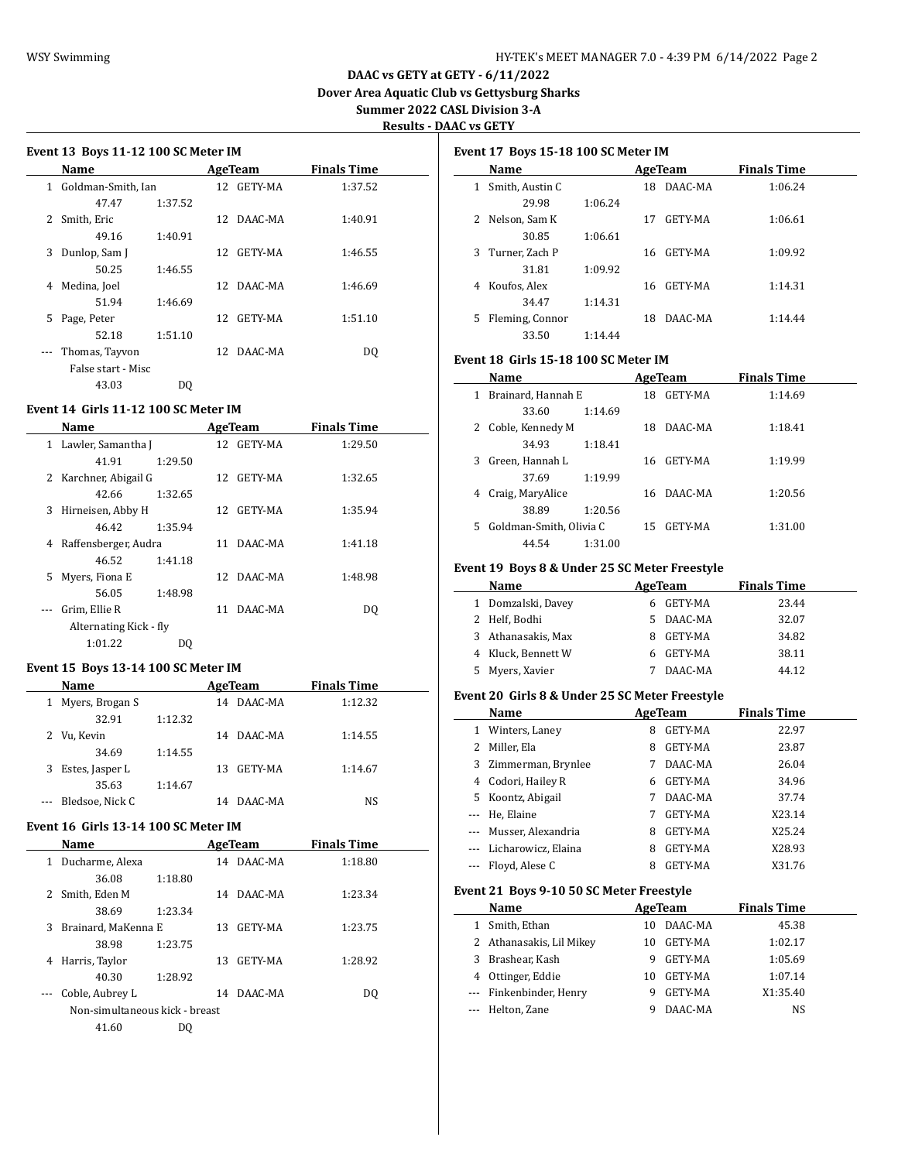# **DAAC vs GETY at GETY - 6/11/2022 Dover Area Aquatic Club vs Gettysburg Sharks Summer 2022 CASL Division 3-A Results - DAAC vs GETY**

| Event 13 Boys 11-12 100 SC Meter IM |                    |         |                 |            |                    |  |
|-------------------------------------|--------------------|---------|-----------------|------------|--------------------|--|
|                                     | Name               |         |                 | AgeTeam    | <b>Finals Time</b> |  |
| 1                                   | Goldman-Smith, Ian |         |                 | 12 GETY-MA | 1:37.52            |  |
|                                     | 47.47              | 1:37.52 |                 |            |                    |  |
| 2                                   | Smith, Eric        |         | 12 <sup>°</sup> | DAAC-MA    | 1:40.91            |  |
|                                     | 49.16              | 1:40.91 |                 |            |                    |  |
| 3                                   | Dunlop, Sam J      |         | 12.             | GETY-MA    | 1:46.55            |  |
|                                     | 50.25              | 1:46.55 |                 |            |                    |  |
| 4                                   | Medina, Joel       |         | 12 <sup>°</sup> | DAAC-MA    | 1:46.69            |  |
|                                     | 51.94              | 1:46.69 |                 |            |                    |  |
| 5                                   | Page, Peter        |         | 12              | GETY-MA    | 1:51.10            |  |
|                                     | 52.18              | 1:51.10 |                 |            |                    |  |
|                                     | Thomas, Tayyon     |         |                 | 12 DAAC-MA | DO.                |  |
|                                     | False start - Misc |         |                 |            |                    |  |
|                                     | 43.03              | DO      |                 |            |                    |  |

### **Event 14 Girls 11-12 100 SC Meter IM**

|    | Name                   |         |     | AgeTeam    | <b>Finals Time</b> |  |
|----|------------------------|---------|-----|------------|--------------------|--|
|    | 1 Lawler, Samantha J   |         |     | 12 GETY-MA | 1:29.50            |  |
|    | 41.91                  | 1:29.50 |     |            |                    |  |
|    | 2 Karchner, Abigail G  |         |     | 12 GETY-MA | 1:32.65            |  |
|    | 42.66                  | 1:32.65 |     |            |                    |  |
| 3  | Hirneisen, Abby H      |         | 12. | GETY-MA    | 1:35.94            |  |
|    | 46.42                  | 1:35.94 |     |            |                    |  |
| 4  | Raffensberger, Audra   |         | 11  | DAAC-MA    | 1:41.18            |  |
|    | 46.52                  | 1:41.18 |     |            |                    |  |
| 5. | Myers, Fiona E         |         |     | 12 DAAC-MA | 1:48.98            |  |
|    | 56.05                  | 1:48.98 |     |            |                    |  |
|    | Grim, Ellie R          |         | 11  | DAAC-MA    | DO.                |  |
|    | Alternating Kick - fly |         |     |            |                    |  |
|    | 1:01.22                | DΟ      |     |            |                    |  |
|    |                        |         |     |            |                    |  |

# **Event 15 Boys 13-14 100 SC Meter IM**

| <b>Name</b>          |         | AgeTeam        | <b>Finals Time</b> |
|----------------------|---------|----------------|--------------------|
| 1 Myers, Brogan S    |         | DAAC-MA<br>14  | 1:12.32            |
| 32.91                | 1:12.32 |                |                    |
| 2 Vu, Kevin          |         | DAAC-MA<br>14  | 1:14.55            |
| 34.69                | 1:14.55 |                |                    |
| Estes, Jasper L<br>3 |         | GETY-MA<br>13. | 1:14.67            |
| 35.63                | 1:14.67 |                |                    |
| Bledsoe, Nick C      |         | DAAC-MA<br>14  | NS                 |
|                      |         |                |                    |

# **Event 16 Girls 13-14 100 SC Meter IM**

 $\overline{a}$ 

|   | <b>Name</b>                    |         | AgeTeam |            | <b>Finals Time</b> |  |
|---|--------------------------------|---------|---------|------------|--------------------|--|
| 1 | Ducharme, Alexa                |         |         | 14 DAAC-MA | 1:18.80            |  |
|   | 36.08                          | 1:18.80 |         |            |                    |  |
| 2 | Smith, Eden M                  |         |         | 14 DAAC-MA | 1:23.34            |  |
|   | 38.69                          | 1:23.34 |         |            |                    |  |
| 3 | Brainard, MaKenna E            |         |         | 13 GETY-MA | 1:23.75            |  |
|   | 38.98                          | 1:23.75 |         |            |                    |  |
| 4 | Harris, Taylor                 |         | 13.     | GETY-MA    | 1:28.92            |  |
|   | 40.30                          | 1:28.92 |         |            |                    |  |
|   | Coble, Aubrey L                |         | 14      | DAAC-MA    | DO                 |  |
|   | Non-simultaneous kick - breast |         |         |            |                    |  |
|   | 41.60                          | DΟ      |         |            |                    |  |
|   |                                |         |         |            |                    |  |

|    | Event 17 Boys 15-18 100 SC Meter IM |         |     |         |                    |  |  |  |  |
|----|-------------------------------------|---------|-----|---------|--------------------|--|--|--|--|
|    | Name                                |         |     | AgeTeam | <b>Finals Time</b> |  |  |  |  |
| 1  | Smith, Austin C                     |         | 18. | DAAC-MA | 1:06.24            |  |  |  |  |
|    | 29.98                               | 1:06.24 |     |         |                    |  |  |  |  |
| 2  | Nelson, Sam K                       |         | 17  | GETY-MA | 1:06.61            |  |  |  |  |
|    | 30.85                               | 1:06.61 |     |         |                    |  |  |  |  |
| 3  | Turner, Zach P                      |         | 16. | GETY-MA | 1:09.92            |  |  |  |  |
|    | 31.81                               | 1:09.92 |     |         |                    |  |  |  |  |
| 4  | Koufos, Alex                        |         | 16. | GETY-MA | 1:14.31            |  |  |  |  |
|    | 34.47                               | 1:14.31 |     |         |                    |  |  |  |  |
| 5. | Fleming, Connor                     |         | 18. | DAAC-MA | 1:14:44            |  |  |  |  |
|    | 33.50                               | 1:14.44 |     |         |                    |  |  |  |  |

## **Event 18 Girls 15-18 100 SC Meter IM**

|    | Name                    |         |    | AgeTeam    | <b>Finals Time</b> |
|----|-------------------------|---------|----|------------|--------------------|
|    | Brainard, Hannah E      |         | 18 | GETY-MA    | 1:14.69            |
|    | 33.60                   | 1:14.69 |    |            |                    |
| 2  | Coble, Kennedy M        |         | 18 | DAAC-MA    | 1:18.41            |
|    | 34.93                   | 1:18.41 |    |            |                    |
| 3  | Green, Hannah L         |         |    | 16 GETY-MA | 1:19.99            |
|    | 37.69                   | 1:19.99 |    |            |                    |
| 4  | Craig, MaryAlice        |         |    | 16 DAAC-MA | 1:20.56            |
|    | 38.89                   | 1:20.56 |    |            |                    |
| 5. | Goldman-Smith, Olivia C |         | 15 | GETY-MA    | 1:31.00            |
|    | 44.54                   | 1:31.00 |    |            |                    |

#### **Event 19 Boys 8 & Under 25 SC Meter Freestyle**

|    | <b>Name</b>        |    | AgeTeam   | <b>Finals Time</b> |
|----|--------------------|----|-----------|--------------------|
|    | 1 Domzalski, Davey | 6  | GETY-MA   | 23.44              |
|    | 2 Helf, Bodhi      | 5. | DAAC-MA   | 32.07              |
|    | 3 Athanasakis, Max |    | GETY-MA   | 34.82              |
|    | 4 Kluck, Bennett W |    | 6 GETY-MA | 38.11              |
| 5. | Myers, Xavier      |    | DAAC-MA   | 44.12              |

## **Event 20 Girls 8 & Under 25 SC Meter Freestyle**

| Name |                         |   | AgeTeam        | <b>Finals Time</b> |  |
|------|-------------------------|---|----------------|--------------------|--|
| 1    | Winters, Laney          | 8 | <b>GETY-MA</b> | 22.97              |  |
| 2    | Miller, Ela             | 8 | <b>GETY-MA</b> | 23.87              |  |
|      | 3 Zimmerman, Brynlee    |   | DAAC-MA        | 26.04              |  |
|      | 4 Codori, Hailey R      | 6 | GETY-MA        | 34.96              |  |
|      | 5 Koontz, Abigail       |   | DAAC-MA        | 37.74              |  |
|      | --- He, Elaine          | 7 | <b>GETY-MA</b> | X23.14             |  |
|      | --- Musser, Alexandria  | 8 | <b>GETY-MA</b> | X25.24             |  |
|      | --- Licharowicz, Elaina | 8 | <b>GETY-MA</b> | X28.93             |  |
|      | --- Floyd, Alese C      | 8 | <b>GETY-MA</b> | X31.76             |  |

#### **Event 21 Boys 9-10 50 SC Meter Freestyle**

|   | Name                     |     | AgeTeam        | <b>Finals Time</b> |  |
|---|--------------------------|-----|----------------|--------------------|--|
| 1 | Smith, Ethan             | 10  | DAAC-MA        | 45.38              |  |
|   | 2 Athanasakis, Lil Mikey | 10  | GETY-MA        | 1:02.17            |  |
|   | 3 Brashear, Kash         | 9   | GETY-MA        | 1:05.69            |  |
|   | 4 Ottinger, Eddie        | 10. | GETY-MA        | 1:07.14            |  |
|   | --- Finkenbinder, Henry  | 9   | <b>GETY-MA</b> | X1:35.40           |  |
|   | --- Helton, Zane         |     | DAAC-MA        | NS                 |  |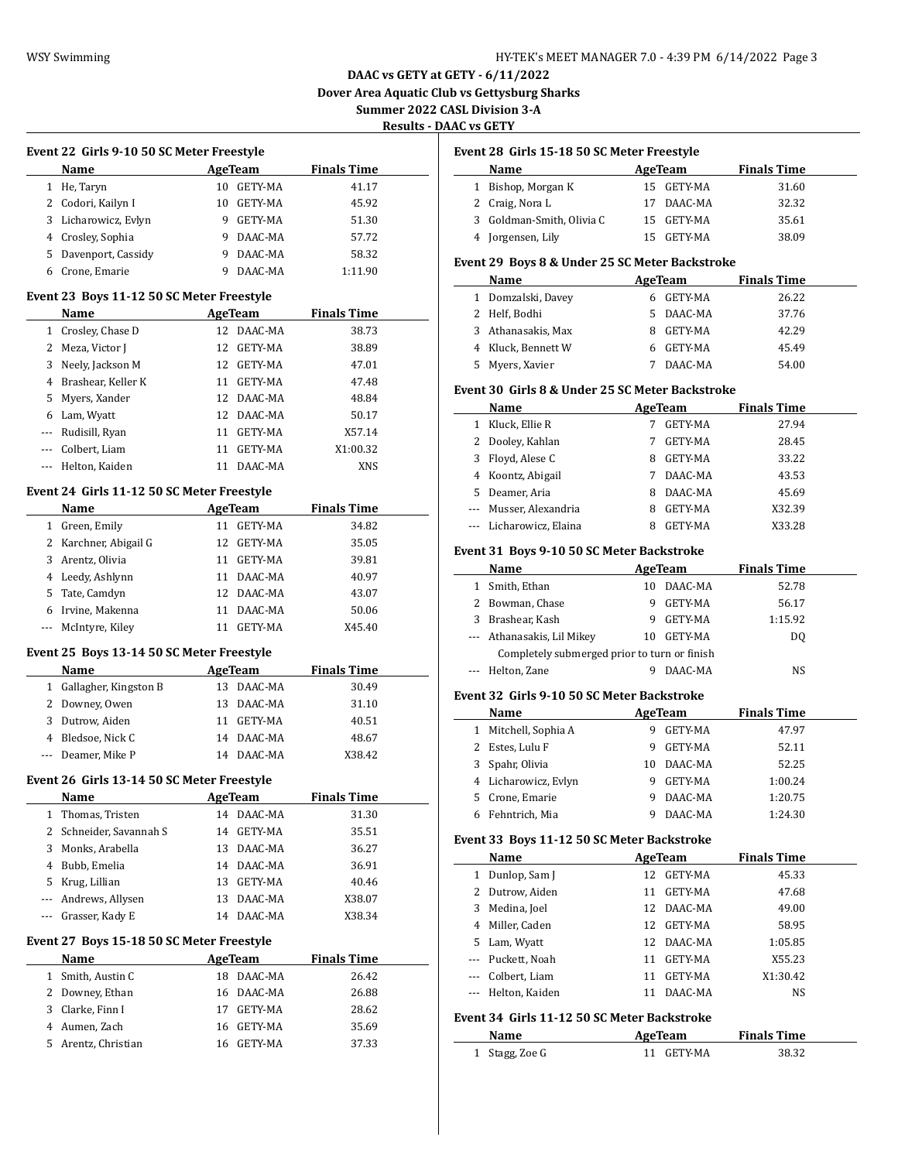# **DAAC vs GETY at GETY - 6/11/2022 Dover Area Aquatic Club vs Gettysburg Sharks Summer 2022 CASL Division 3-A**

**Results - DAAC vs GETY**

|                          | Event 22  Girls 9-10 50 SC Meter Freestyle<br>Name<br><b>Contract Contract Contract</b> | <b>AgeTeam</b>             | <b>Finals Time</b>                     |
|--------------------------|-----------------------------------------------------------------------------------------|----------------------------|----------------------------------------|
|                          | 1 He, Taryn                                                                             | 10 GETY-MA                 | 41.17                                  |
|                          | 2 Codori, Kailyn I                                                                      | 10 GETY-MA                 | 45.92                                  |
|                          | 3 Licharowicz, Evlyn                                                                    | 9 GETY-MA                  | 51.30                                  |
|                          | 4 Crosley, Sophia                                                                       | 9 DAAC-MA                  | 57.72                                  |
|                          | 5 Davenport, Cassidy                                                                    | 9 DAAC-MA                  | 58.32                                  |
|                          | 6 Crone, Emarie                                                                         | 9 DAAC-MA                  | 1:11.90                                |
|                          | Event 23 Boys 11-12 50 SC Meter Freestyle                                               |                            |                                        |
|                          | Name                                                                                    | <b>Example 2.1 AgeTeam</b> | <b>Finals Time</b>                     |
|                          | 1 Crosley, Chase D                                                                      | 12 DAAC-MA                 | 38.73                                  |
|                          | 2 Meza, Victor J                                                                        | 12 GETY-MA                 | 38.89                                  |
|                          | 3 Neely, Jackson M                                                                      | 12 GETY-MA                 | 47.01                                  |
|                          | 4 Brashear, Keller K                                                                    | 11 GETY-MA                 | 47.48                                  |
|                          | 5 Myers, Xander                                                                         | 12 DAAC-MA                 | 48.84                                  |
|                          | 6 Lam, Wyatt                                                                            | 12 DAAC-MA                 | 50.17                                  |
|                          | --- Rudisill, Ryan                                                                      | 11 GETY-MA                 | X57.14                                 |
|                          | --- Colbert, Liam                                                                       | 11 GETY-MA                 | X1:00.32                               |
|                          | --- Helton, Kaiden                                                                      | 11 DAAC-MA                 | XNS                                    |
|                          | Event 24 Girls 11-12 50 SC Meter Freestyle                                              |                            |                                        |
|                          | Name                                                                                    |                            | <b>Example 2 AgeTeam</b> Finals Time   |
|                          | 1 Green, Emily                                                                          | 11 GETY-MA                 | 34.82                                  |
|                          | 2 Karchner, Abigail G                                                                   | 12 GETY-MA                 | 35.05                                  |
|                          | 3 Arentz, Olivia                                                                        | 11 GETY-MA                 | 39.81                                  |
|                          | 4 Leedy, Ashlynn                                                                        | 11 DAAC-MA                 | 40.97                                  |
|                          | 5 Tate, Camdyn                                                                          | 12 DAAC-MA                 | 43.07                                  |
|                          | 6 Irvine, Makenna                                                                       | 11 DAAC-MA                 | 50.06                                  |
|                          | --- McIntyre, Kiley                                                                     | 11 GETY-MA                 | X45.40                                 |
|                          | Event 25 Boys 13-14 50 SC Meter Freestyle                                               |                            |                                        |
|                          | Name                                                                                    |                            | <b>Example 2.1 AgeTeam</b> Finals Time |
|                          | 1 Gallagher, Kingston B                                                                 | 13 DAAC-MA                 | 30.49                                  |
|                          | 2 Downey, Owen                                                                          | 13 DAAC-MA                 | 31.10                                  |
|                          | 3 Dutrow, Aiden                                                                         | 11 GETY-MA                 | 40.51                                  |
|                          | 4 Bledsoe, Nick C                                                                       | 14 DAAC-MA                 | 48.67                                  |
|                          | --- Deamer, Mike P                                                                      | 14 DAAC-MA                 | X38.42                                 |
|                          | Event 26 Girls 13-14 50 SC Meter Freestyle                                              |                            |                                        |
|                          | <b>Name</b>                                                                             | <b>AgeTeam</b>             | <b>Finals Time</b>                     |
|                          | 1 Thomas, Tristen                                                                       | 14 DAAC-MA                 | 31.30                                  |
| 2                        | Schneider, Savannah S                                                                   | 14 GETY-MA                 | 35.51                                  |
| 3                        | Monks, Arabella                                                                         | 13 DAAC-MA                 | 36.27                                  |
| 4                        | Bubb, Emelia                                                                            | 14 DAAC-MA                 | 36.91                                  |
|                          | 5 Krug, Lillian                                                                         | 13 GETY-MA                 | 40.46                                  |
| $\overline{\phantom{a}}$ | Andrews, Allysen                                                                        | DAAC-MA<br>13              | X38.07                                 |
| ---                      | Grasser, Kady E                                                                         | 14 DAAC-MA                 | X38.34                                 |
|                          | Event 27 Boys 15-18 50 SC Meter Freestyle                                               |                            |                                        |
|                          |                                                                                         |                            | <b>Finals Time</b>                     |
|                          | Name                                                                                    | AgeTeam                    |                                        |
| 1                        | Smith, Austin C                                                                         | 18 DAAC-MA                 | 26.42                                  |
| 2                        | Downey, Ethan                                                                           | 16 DAAC-MA                 | 26.88                                  |
|                          | 3 Clarke, Finn I                                                                        | 17 GETY-MA                 | 28.62                                  |
|                          | 4 Aumen, Zach                                                                           | 16 GETY-MA                 | 35.69                                  |

### **Event 28 Girls 15-18 50 SC Meter Freestyle**

| Name                      | AgeTeam    | <b>Finals Time</b> |  |
|---------------------------|------------|--------------------|--|
| Bishop, Morgan K          | 15 GETY-MA | 31.60              |  |
| 2 Craig, Nora L           | 17 DAAC-MA | 32.32              |  |
| 3 Goldman-Smith, Olivia C | 15 GETY-MA | 35.61              |  |
| 4 Jorgensen, Lily         | 15 GETY-MA | 38.09              |  |

### **Event 29 Boys 8 & Under 25 SC Meter Backstroke**

|    | Name               |   | AgeTeam | <b>Finals Time</b> |  |
|----|--------------------|---|---------|--------------------|--|
|    | 1 Domzalski, Davey |   | GETY-MA | 26.22              |  |
|    | 2 Helf, Bodhi      | 5 | DAAC-MA | 37.76              |  |
|    | 3 Athanasakis, Max |   | GETY-MA | 42.29              |  |
|    | 4 Kluck, Bennett W | 6 | GETY-MA | 45.49              |  |
| 5. | Myers, Xavier      |   | DAAC-MA | 54.00              |  |

#### **Event 30 Girls 8 & Under 25 SC Meter Backstroke**

|          | Name                    |   | AgeTeam        | <b>Finals Time</b> |  |
|----------|-------------------------|---|----------------|--------------------|--|
|          | Kluck, Ellie R          |   | <b>GETY-MA</b> | 27.94              |  |
| 2        | Dooley, Kahlan          |   | <b>GETY-MA</b> | 28.45              |  |
| 3        | Floyd, Alese C          | 8 | <b>GETY-MA</b> | 33.22              |  |
|          | 4 Koontz, Abigail       |   | DAAC-MA        | 43.53              |  |
| 5.       | Deamer, Aria            | 8 | DAAC-MA        | 45.69              |  |
| $\cdots$ | Musser, Alexandria      | 8 | <b>GETY-MA</b> | X32.39             |  |
|          | --- Licharowicz, Elaina | я | <b>GETY-MA</b> | X33.28             |  |

### **Event 31 Boys 9-10 50 SC Meter Backstroke**

|   | Name                                         |    | AgeTeam | <b>Finals Time</b> |  |
|---|----------------------------------------------|----|---------|--------------------|--|
|   | Smith, Ethan                                 | 10 | DAAC-MA | 52.78              |  |
|   | Bowman, Chase                                | 9  | GETY-MA | 56.17              |  |
| 3 | Brashear, Kash                               | 9  | GETY-MA | 1:15.92            |  |
|   | --- Athanasakis, Lil Mikey                   | 10 | GETY-MA | DO                 |  |
|   | Completely submerged prior to turn or finish |    |         |                    |  |
|   | Helton, Zane                                 |    | DAAC-MA | NS.                |  |

#### **Event 32 Girls 9-10 50 SC Meter Backstroke**

|   | Name                 |   | AgeTeam        | <b>Finals Time</b> |
|---|----------------------|---|----------------|--------------------|
| 1 | Mitchell, Sophia A   | 9 | <b>GETY-MA</b> | 47.97              |
|   | Estes, Lulu F        | 9 | <b>GETY-MA</b> | 52.11              |
|   | 3 Spahr, Olivia      |   | 10 DAAC-MA     | 52.25              |
|   | 4 Licharowicz, Evlyn |   | <b>GETY-MA</b> | 1:00.24            |
|   | 5 Crone, Emarie      | 9 | DAAC-MA        | 1:20.75            |
| 6 | Fehntrich, Mia       |   | DAAC-MA        | 1:24.30            |

### **Event 33 Boys 11-12 50 SC Meter Backstroke**

| . $\frac{1}{2}$ . $\frac{1}{2}$ . $\frac{1}{2}$ . $\frac{1}{2}$ . $\frac{1}{2}$ . $\frac{1}{2}$ . $\frac{1}{2}$ . $\frac{1}{2}$ . $\frac{1}{2}$ . $\frac{1}{2}$ |                    |    |                |                    |  |  |  |  |
|-----------------------------------------------------------------------------------------------------------------------------------------------------------------|--------------------|----|----------------|--------------------|--|--|--|--|
|                                                                                                                                                                 | Name               |    | AgeTeam        | <b>Finals Time</b> |  |  |  |  |
| 1                                                                                                                                                               | Dunlop, Sam J      | 12 | <b>GETY-MA</b> | 45.33              |  |  |  |  |
| 2                                                                                                                                                               | Dutrow, Aiden      | 11 | GETY-MA        | 47.68              |  |  |  |  |
| 3                                                                                                                                                               | Medina, Joel       |    | 12 DAAC-MA     | 49.00              |  |  |  |  |
| 4                                                                                                                                                               | Miller, Caden      |    | 12 GETY-MA     | 58.95              |  |  |  |  |
| 5.                                                                                                                                                              | Lam, Wyatt         |    | 12 DAAC-MA     | 1:05.85            |  |  |  |  |
|                                                                                                                                                                 | Puckett, Noah      | 11 | GETY-MA        | X55.23             |  |  |  |  |
|                                                                                                                                                                 | Colbert. Liam      | 11 | GETY-MA        | X1:30.42           |  |  |  |  |
|                                                                                                                                                                 | --- Helton, Kaiden |    | 11 DAAC-MA     | <b>NS</b>          |  |  |  |  |
| Event 34  Girls 11-12 50 SC Meter Backstroke                                                                                                                    |                    |    |                |                    |  |  |  |  |
|                                                                                                                                                                 | Name               |    | AgeTeam        | <b>Finals Time</b> |  |  |  |  |
|                                                                                                                                                                 | Stagg, Zoe G       | 11 | <b>GETY-MA</b> | 38.32              |  |  |  |  |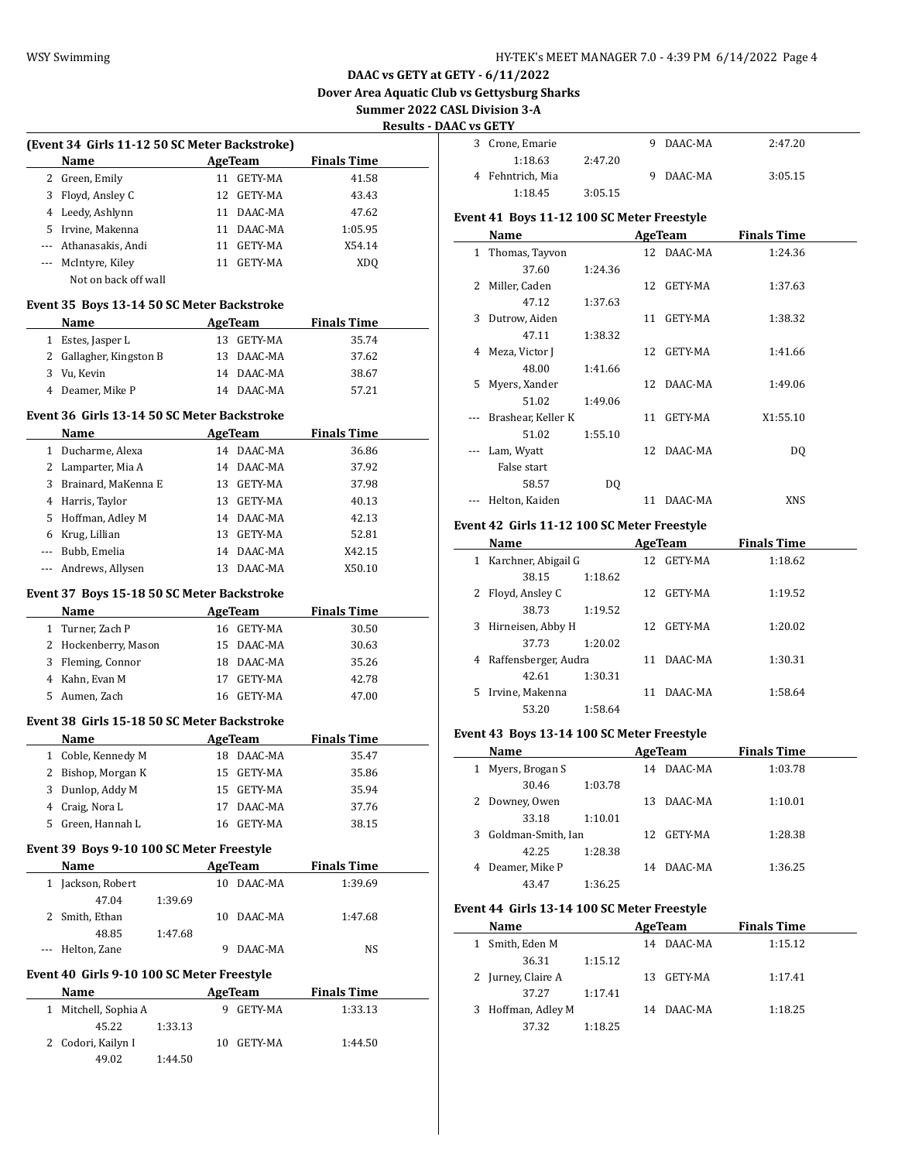# **DAAC vs GETY at GETY - 6/11/2022**

**Dover Area Aquatic Club vs Gettysburg Sharks**

 $\overline{a}$ 

 $\overline{\phantom{a}}$ 

**Summer 2022 CASL Division 3-A**

### **Results - DAAC vs GETY**

| (Event 34 Girls 11-12 50 SC Meter Backstroke) |                       |     |         |                    |  |  |  |  |
|-----------------------------------------------|-----------------------|-----|---------|--------------------|--|--|--|--|
|                                               | <b>Name</b>           |     | AgeTeam | <b>Finals Time</b> |  |  |  |  |
| 2                                             | Green, Emily          | 11  | GETY-MA | 41.58              |  |  |  |  |
| 3                                             | Floyd, Ansley C       | 12. | GETY-MA | 43.43              |  |  |  |  |
| 4                                             | Leedy, Ashlynn        | 11  | DAAC-MA | 47.62              |  |  |  |  |
| 5.                                            | Irvine, Makenna       | 11  | DAAC-MA | 1:05.95            |  |  |  |  |
|                                               | --- Athanasakis, Andi | 11  | GETY-MA | X54.14             |  |  |  |  |
|                                               | McIntyre, Kiley       | 11  | GETY-MA | XD <sub>0</sub>    |  |  |  |  |
|                                               | Not on back off wall  |     |         |                    |  |  |  |  |

#### **Event 35 Boys 13-14 50 SC Meter Backstroke**

| <b>Name</b>             | AgeTeam    | <b>Finals Time</b> |
|-------------------------|------------|--------------------|
| 1 Estes, Jasper L       | 13 GETY-MA | 35.74              |
| 2 Gallagher, Kingston B | 13 DAAC-MA | 37.62              |
| 3 Vu, Kevin             | 14 DAAC-MA | 38.67              |
| 4 Deamer, Mike P        | 14 DAAC-MA | 57.21              |

#### **Event 36 Girls 13-14 50 SC Meter Backstroke**

|                          | <b>Name</b>           |    | AgeTeam        | <b>Finals Time</b> |
|--------------------------|-----------------------|----|----------------|--------------------|
|                          | 1 Ducharme, Alexa     | 14 | DAAC-MA        | 36.86              |
|                          | 2 Lamparter, Mia A    |    | 14 DAAC-MA     | 37.92              |
|                          | 3 Brainard, MaKenna E | 13 | <b>GETY-MA</b> | 37.98              |
|                          | 4 Harris, Taylor      | 13 | GETY-MA        | 40.13              |
|                          | 5 Hoffman, Adley M    | 14 | DAAC-MA        | 42.13              |
|                          | 6 Krug, Lillian       | 13 | <b>GETY-MA</b> | 52.81              |
| $\overline{\phantom{a}}$ | Bubb, Emelia          | 14 | DAAC-MA        | X42.15             |
|                          | --- Andrews, Allysen  | 13 | DAAC-MA        | X50.10             |

### **Event 37 Boys 15-18 50 SC Meter Backstroke**

| <b>Name</b>          |    | AgeTeam    | <b>Finals Time</b> |
|----------------------|----|------------|--------------------|
| 1 Turner, Zach P     |    | 16 GETY-MA | 30.50              |
| 2 Hockenberry, Mason |    | 15 DAAC-MA | 30.63              |
| 3 Fleming, Connor    |    | 18 DAAC-MA | 35.26              |
| 4 Kahn, Evan M       | 17 | GETY-MA    | 42.78              |
| 5 Aumen, Zach        |    | 16 GETY-MA | 47.00              |

### **Event 38 Girls 15-18 50 SC Meter Backstroke**

| <b>Name</b>        | AgeTeam       | <b>Finals Time</b> |  |
|--------------------|---------------|--------------------|--|
| 1 Coble, Kennedy M | 18 DAAC-MA    | 35.47              |  |
| 2 Bishop, Morgan K | 15 GETY-MA    | 35.86              |  |
| 3 Dunlop, Addy M   | 15 GETY-MA    | 35.94              |  |
| 4 Craig, Nora L    | DAAC-MA<br>17 | 37.76              |  |
| 5 Green, Hannah L  | 16 GETY-MA    | 38.15              |  |
|                    |               |                    |  |

# **Event 39 Boys 9-10 100 SC Meter Freestyle**

| Name              |         |    | AgeTeam | <b>Finals Time</b> |  |
|-------------------|---------|----|---------|--------------------|--|
| 1 Jackson, Robert |         | 10 | DAAC-MA | 1:39.69            |  |
| 47.04             | 1:39.69 |    |         |                    |  |
| 2 Smith, Ethan    |         | 10 | DAAC-MA | 1:47.68            |  |
| 48.85             | 1:47.68 |    |         |                    |  |
| Helton, Zane      |         |    | DAAC-MA | NS                 |  |

# **Event 40 Girls 9-10 100 SC Meter Freestyle**

| <b>Name</b>          |         | AgeTeam | <b>Finals Time</b> |         |  |
|----------------------|---------|---------|--------------------|---------|--|
| 1 Mitchell, Sophia A |         |         | GETY-MA            | 1:33.13 |  |
| 45.22                | 1:33.13 |         |                    |         |  |
| 2 Codori, Kailyn I   |         | 10      | GETY-MA            | 1:44.50 |  |
| 49.02                | 1:44.50 |         |                    |         |  |

| .   .            |         |           |         |
|------------------|---------|-----------|---------|
| 3 Crone, Emarie  |         | 9 DAAC-MA | 2:47.20 |
| 1:18.63          | 2:47.20 |           |         |
| 4 Fehntrich, Mia |         | 9 DAAC-MA | 3:05.15 |
| 1:18.45          | 3:05.15 |           |         |

# **Event 41 Boys 11-12 100 SC Meter Freestyle**

|              | Name               |         |    | AgeTeam    | <b>Finals Time</b> |  |
|--------------|--------------------|---------|----|------------|--------------------|--|
| $\mathbf{1}$ | Thomas, Tayvon     |         |    | 12 DAAC-MA | 1:24.36            |  |
|              | 37.60              | 1:24.36 |    |            |                    |  |
|              | 2 Miller, Caden    |         | 12 | GETY-MA    | 1:37.63            |  |
|              | 47.12              | 1:37.63 |    |            |                    |  |
| 3            | Dutrow, Aiden      |         | 11 | GETY-MA    | 1:38.32            |  |
|              | 47.11              | 1:38.32 |    |            |                    |  |
| 4            | Meza, Victor J     |         | 12 | GETY-MA    | 1:41.66            |  |
|              | 48.00              | 1:41.66 |    |            |                    |  |
| 5.           | Myers, Xander      |         |    | 12 DAAC-MA | 1:49.06            |  |
|              | 51.02              | 1:49.06 |    |            |                    |  |
| $- - -$      | Brashear, Keller K |         | 11 | GETY-MA    | X1:55.10           |  |
|              | 51.02              | 1:55.10 |    |            |                    |  |
| $\cdots$     | Lam, Wyatt         |         |    | 12 DAAC-MA | DQ                 |  |
|              | False start        |         |    |            |                    |  |
|              | 58.57              | DQ      |    |            |                    |  |
|              | Helton, Kaiden     |         | 11 | DAAC-MA    | <b>XNS</b>         |  |

#### **Event 42 Girls 11-12 100 SC Meter Freestyle**

|    | Name                 |         | AgeTeam    | <b>Finals Time</b> |  |
|----|----------------------|---------|------------|--------------------|--|
| 1  | Karchner, Abigail G  |         | 12 GETY-MA | 1:18.62            |  |
|    | 38.15                | 1:18.62 |            |                    |  |
| 2  | Floyd, Ansley C      |         | 12 GETY-MA | 1:19.52            |  |
|    | 38.73                | 1:19.52 |            |                    |  |
| 3  | Hirneisen, Abby H    |         | 12 GETY-MA | 1:20.02            |  |
|    | 37.73                | 1:20.02 |            |                    |  |
| 4  | Raffensberger, Audra |         | 11 DAAC-MA | 1:30.31            |  |
|    | 42.61                | 1:30.31 |            |                    |  |
| 5. | Irvine, Makenna      |         | DAAC-MA    | 1:58.64            |  |
|    | 53.20                | 1:58.64 |            |                    |  |

# **Event 43 Boys 13-14 100 SC Meter Freestyle**

| Name                    |         | AgeTeam |         |  | <b>Finals Time</b> |
|-------------------------|---------|---------|---------|--|--------------------|
| Myers, Brogan S         |         | 14      | DAAC-MA |  | 1:03.78            |
| 30.46                   | 1:03.78 |         |         |  |                    |
| Downey, Owen            |         | 13.     | DAAC-MA |  | 1:10.01            |
| 33.18                   | 1:10.01 |         |         |  |                    |
| Goldman-Smith, Ian<br>3 |         | 12.     | GETY-MA |  | 1:28.38            |
| 42.25                   | 1:28.38 |         |         |  |                    |
| Deamer, Mike P          |         | 14      | DAAC-MA |  | 1:36.25            |
| 43.47                   | 1:36.25 |         |         |  |                    |

#### **Event 44 Girls 13-14 100 SC Meter Freestyle**

|  | Name               |         |  | AgeTeam    | <b>Finals Time</b> |  |
|--|--------------------|---------|--|------------|--------------------|--|
|  | 1 Smith, Eden M    |         |  | 14 DAAC-MA | 1:15.12            |  |
|  | 36.31              | 1:15.12 |  |            |                    |  |
|  | 2 Jurney, Claire A |         |  | 13 GETY-MA | 1:17.41            |  |
|  | 37.27              | 1:17.41 |  |            |                    |  |
|  | 3 Hoffman, Adley M |         |  | 14 DAAC-MA | 1:18.25            |  |
|  | 37.32              | 1:18.25 |  |            |                    |  |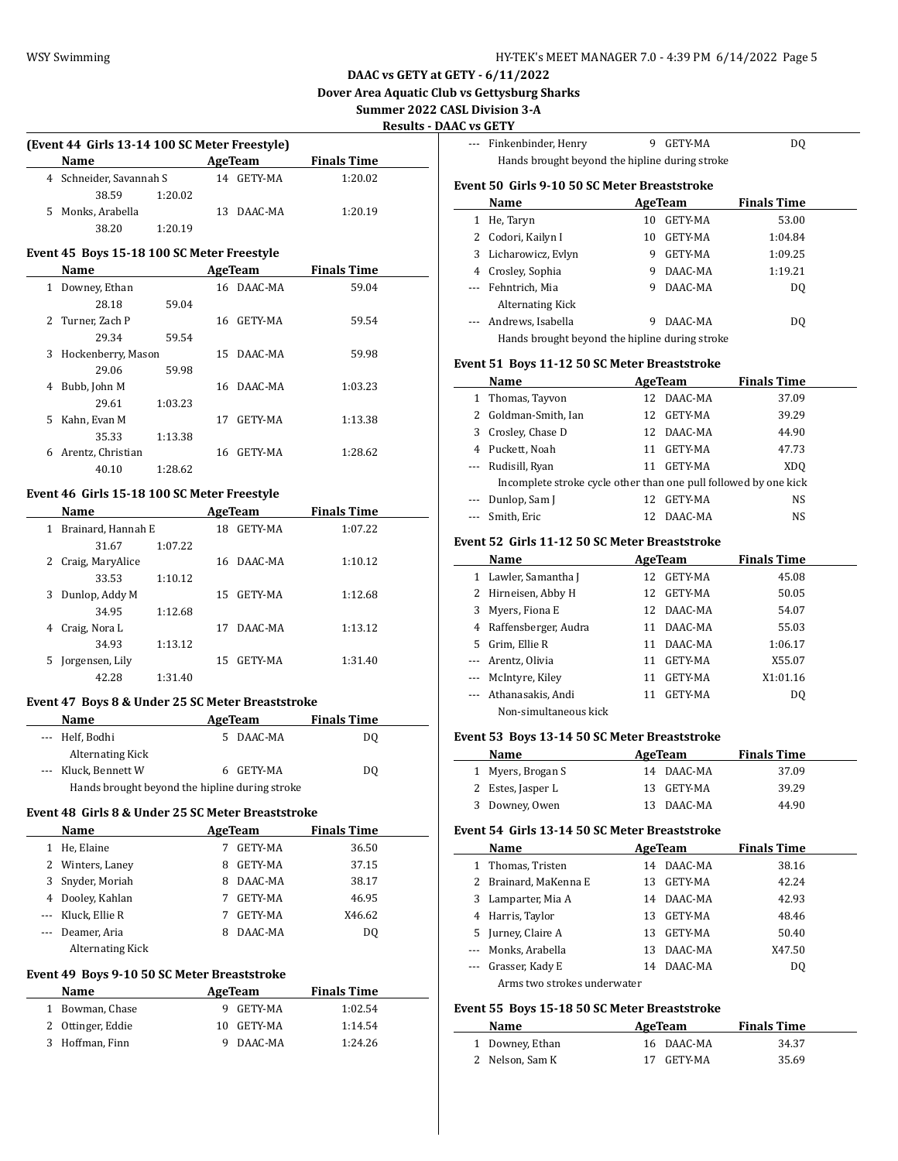**DAAC vs GETY at GETY - 6/11/2022**

**Dover Area Aquatic Club vs Gettysburg Sharks**

 $\frac{1}{2}$ 

**Summer 2022 CASL Division 3-A**

**Results - DAAC vs GETY**

| (Event 44 Girls 13-14 100 SC Meter Freestyle) |                         |         |     |         |                    |  |  |  |
|-----------------------------------------------|-------------------------|---------|-----|---------|--------------------|--|--|--|
|                                               | <b>Name</b>             |         |     | AgeTeam | <b>Finals Time</b> |  |  |  |
|                                               | 4 Schneider, Savannah S |         | 14  | GETY-MA | 1:20.02            |  |  |  |
|                                               | 38.59                   | 1:20.02 |     |         |                    |  |  |  |
| 5.                                            | Monks, Arabella         |         | 13. | DAAC-MA | 1:20.19            |  |  |  |
|                                               | 38.20                   | 1:20.19 |     |         |                    |  |  |  |

# **Event 45 Boys 15-18 100 SC Meter Freestyle**

|              | Name               |         |     | AgeTeam    | <b>Finals Time</b> |  |
|--------------|--------------------|---------|-----|------------|--------------------|--|
| $\mathbf{1}$ | Downey, Ethan      |         |     | 16 DAAC-MA | 59.04              |  |
|              | 28.18              | 59.04   |     |            |                    |  |
|              | 2 Turner, Zach P   |         | 16. | GETY-MA    | 59.54              |  |
|              | 29.34              | 59.54   |     |            |                    |  |
| 3            | Hockenberry, Mason |         |     | 15 DAAC-MA | 59.98              |  |
|              | 29.06              | 59.98   |     |            |                    |  |
| 4            | Bubb, John M       |         | 16. | DAAC-MA    | 1:03.23            |  |
|              | 29.61              | 1:03.23 |     |            |                    |  |
| 5            | Kahn, Evan M       |         | 17  | GETY-MA    | 1:13.38            |  |
|              | 35.33              | 1:13.38 |     |            |                    |  |
| 6            | Arentz, Christian  |         |     | 16 GETY-MA | 1:28.62            |  |
|              | 40.10              | 1:28.62 |     |            |                    |  |

# **Event 46 Girls 15-18 100 SC Meter Freestyle**

|              | Name               |         |    | AgeTeam    | <b>Finals Time</b> |  |
|--------------|--------------------|---------|----|------------|--------------------|--|
| $\mathbf{1}$ | Brainard, Hannah E |         | 18 | GETY-MA    | 1:07.22            |  |
|              | 31.67              | 1:07.22 |    |            |                    |  |
| 2            | Craig, MaryAlice   |         |    | 16 DAAC-MA | 1:10.12            |  |
|              | 33.53              | 1:10.12 |    |            |                    |  |
| 3            | Dunlop, Addy M     |         | 15 | GETY-MA    | 1:12.68            |  |
|              | 34.95              | 1:12.68 |    |            |                    |  |
| 4            | Craig, Nora L      |         | 17 | DAAC-MA    | 1:13.12            |  |
|              | 34.93              | 1:13.12 |    |            |                    |  |
| 5.           | Jorgensen, Lily    |         | 15 | GETY-MA    | 1:31.40            |  |
|              | 42.28              | 1:31.40 |    |            |                    |  |

# **Event 47 Boys 8 & Under 25 SC Meter Breaststroke**

| <b>Name</b>                                    | AgeTeam       | <b>Finals Time</b> |  |  |  |
|------------------------------------------------|---------------|--------------------|--|--|--|
| --- Helf, Bodhi                                | DAAC-MA<br>5. | DO                 |  |  |  |
| <b>Alternating Kick</b>                        |               |                    |  |  |  |
| --- Kluck, Bennett W                           | 6 GETY-MA     | DO                 |  |  |  |
| Hands brought beyond the hipline during stroke |               |                    |  |  |  |

#### **Event 48 Girls 8 & Under 25 SC Meter Breaststroke**

|          | <b>Name</b>             |   | AgeTeam        | <b>Finals Time</b> |  |
|----------|-------------------------|---|----------------|--------------------|--|
|          | He, Elaine              |   | <b>GETY-MA</b> | 36.50              |  |
|          | 2 Winters, Laney        | 8 | GETY-MA        | 37.15              |  |
| 3        | Snyder, Moriah          | 8 | DAAC-MA        | 38.17              |  |
| 4        | Dooley, Kahlan          | 7 | GETY-MA        | 46.95              |  |
|          | --- Kluck, Ellie R      |   | GETY-MA        | X46.62             |  |
| $\cdots$ | Deamer, Aria            | 8 | DAAC-MA        | DO.                |  |
|          | <b>Alternating Kick</b> |   |                |                    |  |

### **Event 49 Boys 9-10 50 SC Meter Breaststroke**

| Name              | AgeTeam |           | <b>Finals Time</b> |  |
|-------------------|---------|-----------|--------------------|--|
| 1 Bowman, Chase   |         | 9 GETY-MA | 1:02.54            |  |
| 2 Ottinger, Eddie | 10.     | GETY-MA   | 1:14.54            |  |
| 3 Hoffman, Finn   |         | 9 DAAC-MA | 1:24.26            |  |

|                                              | --- Finkenbinder, Henry                                                              | 9  | GETY-MA | DO.                |  |  |  |  |  |
|----------------------------------------------|--------------------------------------------------------------------------------------|----|---------|--------------------|--|--|--|--|--|
|                                              | Hands brought beyond the hipline during stroke                                       |    |         |                    |  |  |  |  |  |
| Event 50 Girls 9-10 50 SC Meter Breaststroke |                                                                                      |    |         |                    |  |  |  |  |  |
|                                              | Name                                                                                 |    | AgeTeam | <b>Finals Time</b> |  |  |  |  |  |
| 1                                            | He, Taryn                                                                            | 10 | GETY-MA | 53.00              |  |  |  |  |  |
| 2.                                           | Codori, Kailyn I                                                                     | 10 | GETY-MA | 1:04.84            |  |  |  |  |  |
| 3                                            | Licharowicz, Evlyn                                                                   | 9  | GETY-MA | 1:09.25            |  |  |  |  |  |
| 4                                            | Crosley, Sophia                                                                      | 9  | DAAC-MA | 1:19.21            |  |  |  |  |  |
|                                              | --- Fehntrich, Mia                                                                   | 9  | DAAC-MA | D <sub>0</sub>     |  |  |  |  |  |
|                                              | Alternating Kick                                                                     |    |         |                    |  |  |  |  |  |
|                                              | --- Andrews, Isabella                                                                | 9  | DAAC-MA | DO                 |  |  |  |  |  |
|                                              | The cold a homeopeart at the common status to be the level of a status and according |    |         |                    |  |  |  |  |  |

Hands brought beyond the hipline during stroke

### **Event 51 Boys 11-12 50 SC Meter Breaststroke**

| Name                                                             | AgeTeam |                | <b>Finals Time</b> |  |  |  |
|------------------------------------------------------------------|---------|----------------|--------------------|--|--|--|
| 1 Thomas, Tayvon                                                 | 12      | DAAC-MA        | 37.09              |  |  |  |
| 2 Goldman-Smith, Ian                                             | 12      | GETY-MA        | 39.29              |  |  |  |
| 3 Crosley, Chase D                                               |         | 12 DAAC-MA     | 44.90              |  |  |  |
| 4 Puckett, Noah                                                  | 11      | <b>GETY-MA</b> | 47.73              |  |  |  |
| --- Rudisill, Ryan                                               | 11      | GETY-MA        | XDO                |  |  |  |
| Incomplete stroke cycle other than one pull followed by one kick |         |                |                    |  |  |  |
| Dunlop, Sam J                                                    | 12      | <b>GETY-MA</b> | NS                 |  |  |  |
| --- Smith, Eric                                                  |         | DAAC-MA        | NS                 |  |  |  |

# **Event 52 Girls 11-12 50 SC Meter Breaststroke**

|    | Name                  |     | AgeTeam        | <b>Finals Time</b> |  |
|----|-----------------------|-----|----------------|--------------------|--|
| 1  | Lawler, Samantha J    | 12. | GETY-MA        | 45.08              |  |
| 2  | Hirneisen, Abby H     | 12  | GETY-MA        | 50.05              |  |
| 3  | Myers, Fiona E        |     | 12 DAAC-MA     | 54.07              |  |
| 4  | Raffensberger, Audra  | 11  | DAAC-MA        | 55.03              |  |
| 5. | Grim, Ellie R         | 11  | DAAC-MA        | 1:06.17            |  |
|    | --- Arentz, Olivia    | 11  | <b>GETY-MA</b> | X55.07             |  |
|    | McIntyre, Kiley       | 11  | GETY-MA        | X1:01.16           |  |
|    | Athanasakis, Andi     | 11  | <b>GETY-MA</b> | D <sub>0</sub>     |  |
|    | Non-simultaneous kick |     |                |                    |  |

#### **Event 53 Boys 13-14 50 SC Meter Breaststroke**

| <b>Name</b>       | AgeTeam    | <b>Finals Time</b> |
|-------------------|------------|--------------------|
| 1 Myers, Brogan S | 14 DAAC-MA | 37.09              |
| 2 Estes, Jasper L | 13 GETY-MA | 39.29              |
| 3 Downey, Owen    | 13 DAAC-MA | 44.90              |

### **Event 54 Girls 13-14 50 SC Meter Breaststroke**

|   | Name                        | AgeTeam |            | <b>Finals Time</b> |  |
|---|-----------------------------|---------|------------|--------------------|--|
| 1 | Thomas, Tristen             | 14      | DAAC-MA    | 38.16              |  |
|   | 2 Brainard, MaKenna E       | 13.     | GETY-MA    | 42.24              |  |
|   | 3 Lamparter, Mia A          |         | 14 DAAC-MA | 42.93              |  |
|   | 4 Harris, Taylor            | 13.     | GETY-MA    | 48.46              |  |
|   | 5 Jurney, Claire A          | 13.     | GETY-MA    | 50.40              |  |
|   | --- Monks, Arabella         | 13.     | DAAC-MA    | X47.50             |  |
|   | Grasser, Kady E             | 14      | DAAC-MA    | DO.                |  |
|   | Arms two strokes underwater |         |            |                    |  |

# **Event 55 Boys 15-18 50 SC Meter Breaststroke**

| Name            | AgeTeam    | <b>Finals Time</b> |
|-----------------|------------|--------------------|
| 1 Downey Ethan  | 16 DAAC-MA | 34.37              |
| 2 Nelson, Sam K | 17 GETY-MA | 35.69              |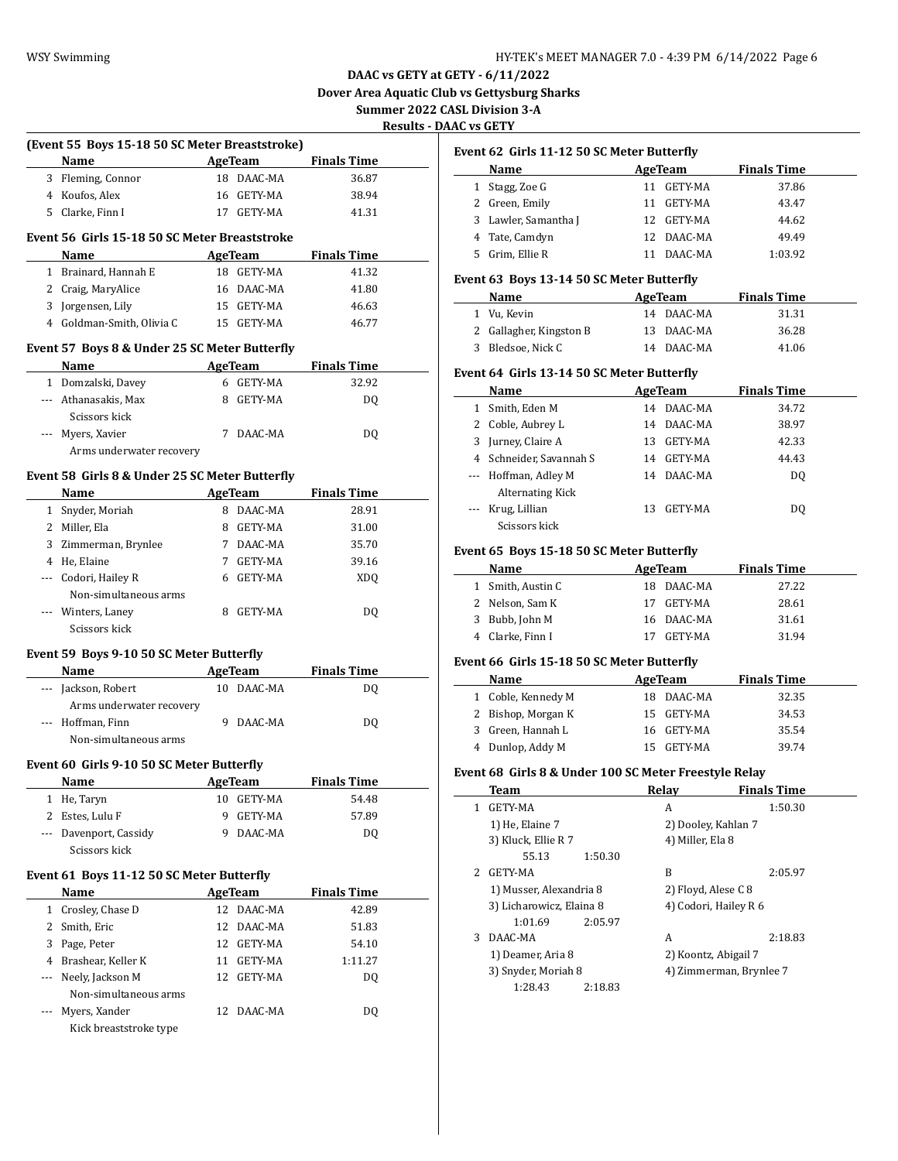**(Event 55 Boys 15-18 50 SC Meter Breaststroke)**

**DAAC vs GETY at GETY - 6/11/2022 Dover Area Aquatic Club vs Gettysburg Sharks**

**Summer 2022 CASL Division 3-A Results - DAAC vs GETY**

 $\overline{\phantom{0}}$ 

 $\overline{\phantom{a}}$ 

|     | <b>Name</b>                                    |    | <b>AgeTeam</b>               | <b>Finals Time</b>          |  |
|-----|------------------------------------------------|----|------------------------------|-----------------------------|--|
|     | 3 Fleming, Connor                              |    | 18 DAAC-MA                   | 36.87                       |  |
|     | 4 Koufos, Alex                                 |    | 16 GETY-MA                   | 38.94                       |  |
|     | 5 Clarke, Finn I                               |    | 17 GETY-MA                   | 41.31                       |  |
|     |                                                |    |                              |                             |  |
|     | Event 56 Girls 15-18 50 SC Meter Breaststroke  |    |                              |                             |  |
|     | Name                                           |    | <b>AgeTeam</b>               | <b>Finals Time</b>          |  |
|     | 1 Brainard, Hannah E                           |    | 18 GETY-MA                   | 41.32                       |  |
|     | 2 Craig, MaryAlice                             |    | 16 DAAC-MA                   | 41.80                       |  |
|     | 3 Jorgensen, Lily                              |    | 15 GETY-MA                   | 46.63                       |  |
|     | 4 Goldman-Smith, Olivia C                      |    | 15 GETY-MA                   | 46.77                       |  |
|     | Event 57 Boys 8 & Under 25 SC Meter Butterfly  |    |                              |                             |  |
|     | Name                                           |    | AgeTeam                      | <b>Finals Time</b>          |  |
|     | 1 Domzalski, Davey                             |    | 6 GETY-MA                    | 32.92                       |  |
|     | --- Athanasakis, Max                           |    | 8 GETY-MA                    | DQ                          |  |
|     | Scissors kick                                  |    |                              |                             |  |
|     | --- Myers, Xavier                              |    | 7 DAAC-MA                    | DQ                          |  |
|     | Arms underwater recovery                       |    |                              |                             |  |
|     |                                                |    |                              |                             |  |
|     | Event 58 Girls 8 & Under 25 SC Meter Butterfly |    |                              |                             |  |
|     | Name                                           |    | AgeTeam                      | <b>Finals Time</b>          |  |
|     | 1 Snyder, Moriah                               |    | 8 DAAC-MA                    | 28.91                       |  |
|     | 2 Miller, Ela                                  |    | 8 GETY-MA                    | 31.00                       |  |
|     | 3 Zimmerman, Brynlee                           |    | 7 DAAC-MA                    | 35.70                       |  |
|     | 4 He, Elaine                                   |    | 7 GETY-MA                    | 39.16                       |  |
|     | --- Codori, Hailey R                           |    | 6 GETY-MA                    | XD <sub>O</sub>             |  |
|     | Non-simultaneous arms                          |    |                              |                             |  |
|     | --- Winters, Laney<br>Scissors kick            |    | 8 GETY-MA                    | DQ                          |  |
|     |                                                |    |                              |                             |  |
|     | Event 59 Boys 9-10 50 SC Meter Butterfly       |    |                              |                             |  |
|     | <b>Name</b>                                    |    | AgeTeam                      | <b>Finals Time</b>          |  |
|     | --- Jackson, Robert                            |    | 10 DAAC-MA                   | DO.                         |  |
|     | Arms underwater recovery                       |    |                              |                             |  |
|     | --- Hoffman, Finn                              |    | 9 DAAC-MA                    | DO.                         |  |
|     | Non-simultaneous arms                          |    |                              |                             |  |
|     | Event 60 Girls 9-10 50 SC Meter Butterfly      |    |                              |                             |  |
|     | Name                                           |    | AgeTeam                      | <b>Finals Time</b>          |  |
|     | 1 He, Taryn                                    |    | 10 GETY-MA                   | 54.48                       |  |
|     | 2 Estes, Lulu F                                | 9  | GETY-MA                      | 57.89                       |  |
| --- | Davenport, Cassidy                             | 9  | DAAC-MA                      | DQ                          |  |
|     | Scissors kick                                  |    |                              |                             |  |
|     | Event 61 Boys 11-12 50 SC Meter Butterfly      |    |                              |                             |  |
|     | Name                                           |    |                              |                             |  |
|     | 1 Crosley, Chase D                             |    | <b>AgeTeam</b><br>12 DAAC-MA | <b>Finals Time</b><br>42.89 |  |
|     | 2 Smith, Eric                                  |    | 12 DAAC-MA                   | 51.83                       |  |
|     |                                                |    |                              |                             |  |
|     | 3 Page, Peter                                  |    | 12 GETY-MA                   | 54.10                       |  |
|     | 4 Brashear, Keller K                           |    | 11 GETY-MA                   | 1:11.27                     |  |
| --- | Neely, Jackson M                               | 12 | GETY-MA                      | DQ                          |  |
|     | Non-simultaneous arms                          |    |                              |                             |  |
|     | Myers, Xander                                  |    | 12 DAAC-MA                   | DQ                          |  |
|     | Kick breaststroke type                         |    |                              |                             |  |

# **Event 62 Girls 11-12 50 SC Meter Butterfly**

|    | Name                 |    | AgeTeam    | <b>Finals Time</b> |  |
|----|----------------------|----|------------|--------------------|--|
|    | 1 Stagg, Zoe G       |    | 11 GETY-MA | 37.86              |  |
|    | 2 Green, Emily       | 11 | GETY-MA    | 43.47              |  |
|    | 3 Lawler, Samantha J |    | 12 GETY-MA | 44.62              |  |
|    | 4 Tate, Camdyn       |    | 12 DAAC-MA | 49.49              |  |
| 5. | Grim, Ellie R        |    | DAAC-MA    | 1:03.92            |  |

### **Event 63 Boys 13-14 50 SC Meter Butterfly**

| Name                    | AgeTeam    | <b>Finals Time</b> |  |
|-------------------------|------------|--------------------|--|
| 1 Vu, Kevin             | 14 DAAC-MA | 31.31              |  |
| 2 Gallagher, Kingston B | 13 DAAC-MA | 36.28              |  |
| 3 Bledsoe, Nick C       | 14 DAAC-MA | 41.06              |  |

### **Event 64 Girls 13-14 50 SC Meter Butterfly**

|   | Name                    |     | AgeTeam        | <b>Finals Time</b> |  |
|---|-------------------------|-----|----------------|--------------------|--|
| 1 | Smith, Eden M           | 14  | DAAC-MA        | 34.72              |  |
|   | 2 Coble, Aubrey L       | 14  | DAAC-MA        | 38.97              |  |
| 3 | Jurney, Claire A        | 13. | GETY-MA        | 42.33              |  |
|   | 4 Schneider, Savannah S | 14  | GETY-MA        | 44.43              |  |
|   | --- Hoffman, Adley M    | 14  | DAAC-MA        | DO.                |  |
|   | <b>Alternating Kick</b> |     |                |                    |  |
|   | Krug, Lillian           | 13  | <b>GETY-MA</b> | DO.                |  |
|   | Scissors kick           |     |                |                    |  |

# **Event 65 Boys 15-18 50 SC Meter Butterfly**

| Name              | AgeTeam    | <b>Finals Time</b> |
|-------------------|------------|--------------------|
| 1 Smith, Austin C | 18 DAAC-MA | 27.22              |
| 2 Nelson, Sam K   | 17 GETY-MA | 28.61              |
| 3 Bubb, John M    | 16 DAAC-MA | 31.61              |
| Clarke, Finn I    | GETY-MA    | 31.94              |

# **Event 66 Girls 15-18 50 SC Meter Butterfly**

| Name               | AgeTeam    | <b>Finals Time</b> |  |
|--------------------|------------|--------------------|--|
| 1 Coble, Kennedy M | 18 DAAC-MA | 32.35              |  |
| 2 Bishop, Morgan K | 15 GETY-MA | 34.53              |  |
| 3 Green, Hannah L  | 16 GETY-MA | 35.54              |  |
| 4 Dunlop, Addy M   | GETY-MA    | 39.74              |  |

# **Event 68 Girls 8 & Under 100 SC Meter Freestyle Relay**

|               | Team                     | Relav               | <b>Finals Time</b>      |
|---------------|--------------------------|---------------------|-------------------------|
|               | GETY-MA                  | А                   | 1:50.30                 |
|               | 1) He, Elaine 7          |                     | 2) Dooley, Kahlan 7     |
|               | 3) Kluck, Ellie R 7      | 4) Miller, Ela 8    |                         |
|               | 55.13<br>1:50.30         |                     |                         |
| $\mathcal{P}$ | GETY-MA                  | R                   | 2:05.97                 |
|               | 1) Musser, Alexandria 8  | 2) Floyd, Alese C 8 |                         |
|               | 3) Licharowicz, Elaina 8 |                     | 4) Codori, Hailey R 6   |
|               | 2:05.97<br>1:01.69       |                     |                         |
| 3             | DAAC-MA                  | А                   | 2:18.83                 |
|               | 1) Deamer, Aria 8        |                     | 2) Koontz, Abigail 7    |
|               | 3) Snyder, Moriah 8      |                     | 4) Zimmerman, Brynlee 7 |
|               | 1:28.43<br>2:18.83       |                     |                         |